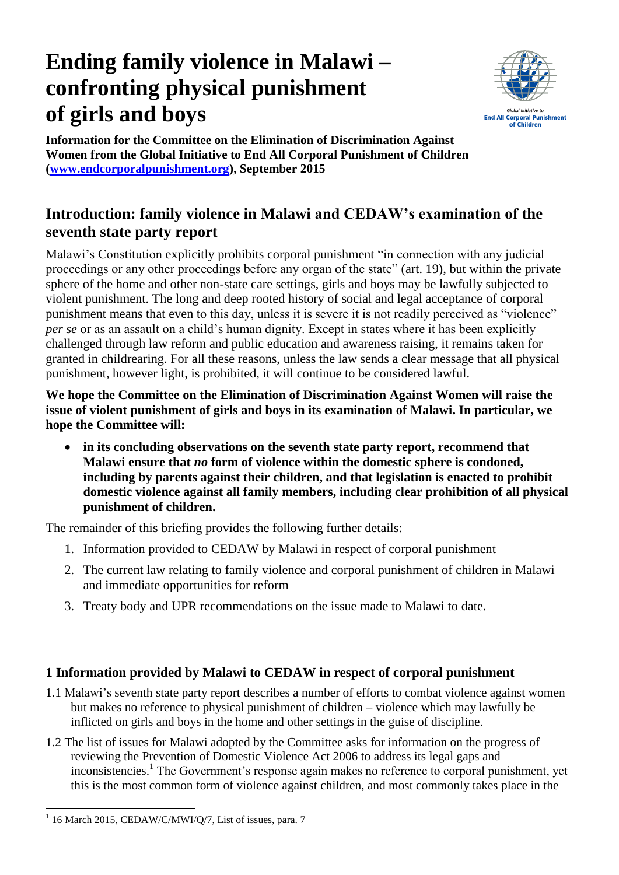# **Ending family violence in Malawi – confronting physical punishment of girls and boys**



**Information for the Committee on the Elimination of Discrimination Against Women from the Global Initiative to End All Corporal Punishment of Children [\(www.endcorporalpunishment.org\)](http://www.endcorporalpunishment.org/), September 2015**

## **Introduction: family violence in Malawi and CEDAW's examination of the seventh state party report**

Malawi's Constitution explicitly prohibits corporal punishment "in connection with any judicial proceedings or any other proceedings before any organ of the state" (art. 19), but within the private sphere of the home and other non-state care settings, girls and boys may be lawfully subjected to violent punishment. The long and deep rooted history of social and legal acceptance of corporal punishment means that even to this day, unless it is severe it is not readily perceived as "violence" *per se* or as an assault on a child's human dignity. Except in states where it has been explicitly challenged through law reform and public education and awareness raising, it remains taken for granted in childrearing. For all these reasons, unless the law sends a clear message that all physical punishment, however light, is prohibited, it will continue to be considered lawful.

**We hope the Committee on the Elimination of Discrimination Against Women will raise the issue of violent punishment of girls and boys in its examination of Malawi. In particular, we hope the Committee will:**

 **in its concluding observations on the seventh state party report, recommend that Malawi ensure that** *no* **form of violence within the domestic sphere is condoned, including by parents against their children, and that legislation is enacted to prohibit domestic violence against all family members, including clear prohibition of all physical punishment of children.**

The remainder of this briefing provides the following further details:

- 1. Information provided to CEDAW by Malawi in respect of corporal punishment
- 2. The current law relating to family violence and corporal punishment of children in Malawi and immediate opportunities for reform
- 3. Treaty body and UPR recommendations on the issue made to Malawi to date.

## **1 Information provided by Malawi to CEDAW in respect of corporal punishment**

- 1.1 Malawi's seventh state party report describes a number of efforts to combat violence against women but makes no reference to physical punishment of children – violence which may lawfully be inflicted on girls and boys in the home and other settings in the guise of discipline.
- 1.2 The list of issues for Malawi adopted by the Committee asks for information on the progress of reviewing the Prevention of Domestic Violence Act 2006 to address its legal gaps and inconsistencies.<sup>1</sup> The Government's response again makes no reference to corporal punishment, yet this is the most common form of violence against children, and most commonly takes place in the

 1 16 March 2015, CEDAW/C/MWI/Q/7, List of issues, para. 7